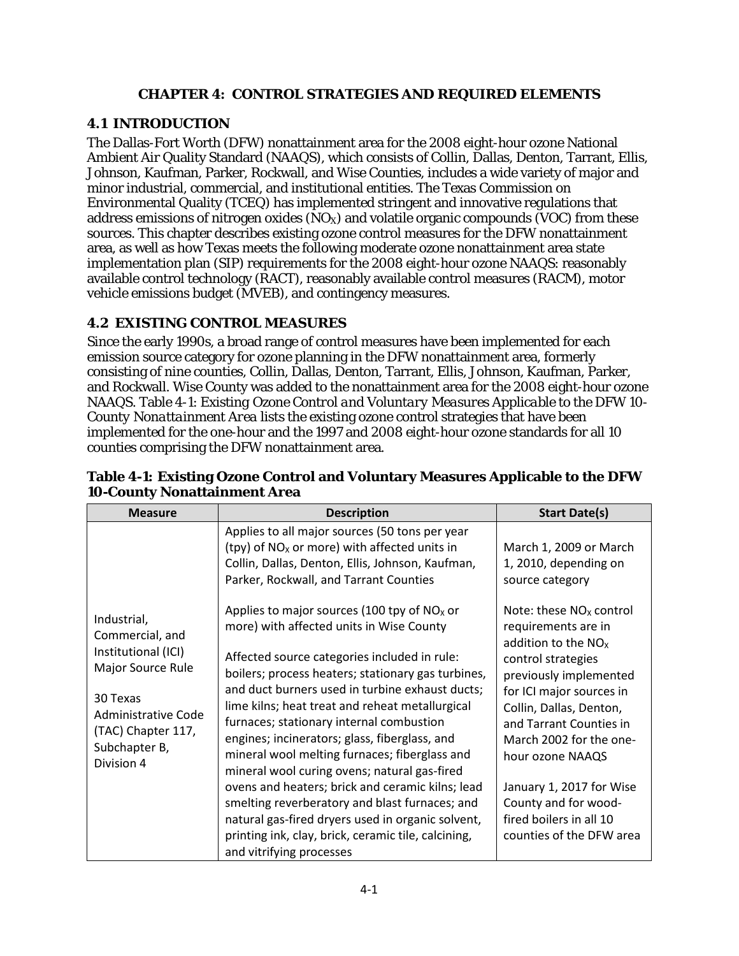#### **CHAPTER 4: CONTROL STRATEGIES AND REQUIRED ELEMENTS**

## **4.1 INTRODUCTION**

The Dallas-Fort Worth (DFW) nonattainment area for the 2008 eight-hour ozone National Ambient Air Quality Standard (NAAQS), which consists of Collin, Dallas, Denton, Tarrant, Ellis, Johnson, Kaufman, Parker, Rockwall, and Wise Counties, includes a wide variety of major and minor industrial, commercial, and institutional entities. The Texas Commission on Environmental Quality (TCEQ) has implemented stringent and innovative regulations that address emissions of nitrogen oxides  $(NO_X)$  and volatile organic compounds (VOC) from these sources. This chapter describes existing ozone control measures for the DFW nonattainment area, as well as how Texas meets the following moderate ozone nonattainment area state implementation plan (SIP) requirements for the 2008 eight-hour ozone NAAQS: reasonably available control technology (RACT), reasonably available control measures (RACM), motor vehicle emissions budget (MVEB), and contingency measures.

## **4.2 EXISTING CONTROL MEASURES**

Since the early 1990s, a broad range of control measures have been implemented for each emission source category for ozone planning in the DFW nonattainment area, formerly consisting of nine counties, Collin, Dallas, Denton, Tarrant, Ellis, Johnson, Kaufman, Parker, and Rockwall. Wise County was added to the nonattainment area for the 2008 eight-hour ozone NAAQS. Table 4-1: *Existing Ozone Control and Voluntary Measures Applicable to the DFW 10- County Nonattainment Area* lists the existing ozone control strategies that have been implemented for the one-hour and the 1997 and 2008 eight-hour ozone standards for all 10 counties comprising the DFW nonattainment area.

| <b>Measure</b>                                                                         | <b>Description</b>                                                                                                                                                                                                                                                                                                                                                                                                                                                                                      | <b>Start Date(s)</b>                                                                                                                                                                                                                                   |
|----------------------------------------------------------------------------------------|---------------------------------------------------------------------------------------------------------------------------------------------------------------------------------------------------------------------------------------------------------------------------------------------------------------------------------------------------------------------------------------------------------------------------------------------------------------------------------------------------------|--------------------------------------------------------------------------------------------------------------------------------------------------------------------------------------------------------------------------------------------------------|
| Industrial,<br>Commercial, and<br>Institutional (ICI)<br>Major Source Rule<br>30 Texas | Applies to all major sources (50 tons per year<br>(tpy) of $NOx$ or more) with affected units in<br>Collin, Dallas, Denton, Ellis, Johnson, Kaufman,<br>Parker, Rockwall, and Tarrant Counties<br>Applies to major sources (100 tpy of $NOx$ or<br>more) with affected units in Wise County<br>Affected source categories included in rule:<br>boilers; process heaters; stationary gas turbines,<br>and duct burners used in turbine exhaust ducts;<br>lime kilns; heat treat and reheat metallurgical | March 1, 2009 or March<br>1, 2010, depending on<br>source category<br>Note: these $NOx$ control<br>requirements are in<br>addition to the $NOx$<br>control strategies<br>previously implemented<br>for ICI major sources in<br>Collin, Dallas, Denton, |
| Administrative Code<br>(TAC) Chapter 117,<br>Subchapter B,<br>Division 4               | furnaces; stationary internal combustion<br>engines; incinerators; glass, fiberglass, and<br>mineral wool melting furnaces; fiberglass and<br>mineral wool curing ovens; natural gas-fired<br>ovens and heaters; brick and ceramic kilns; lead<br>smelting reverberatory and blast furnaces; and<br>natural gas-fired dryers used in organic solvent,<br>printing ink, clay, brick, ceramic tile, calcining,<br>and vitrifying processes                                                                | and Tarrant Counties in<br>March 2002 for the one-<br>hour ozone NAAQS<br>January 1, 2017 for Wise<br>County and for wood-<br>fired boilers in all 10<br>counties of the DFW area                                                                      |

#### **Table 4-1: Existing Ozone Control and Voluntary Measures Applicable to the DFW 10-County Nonattainment Area**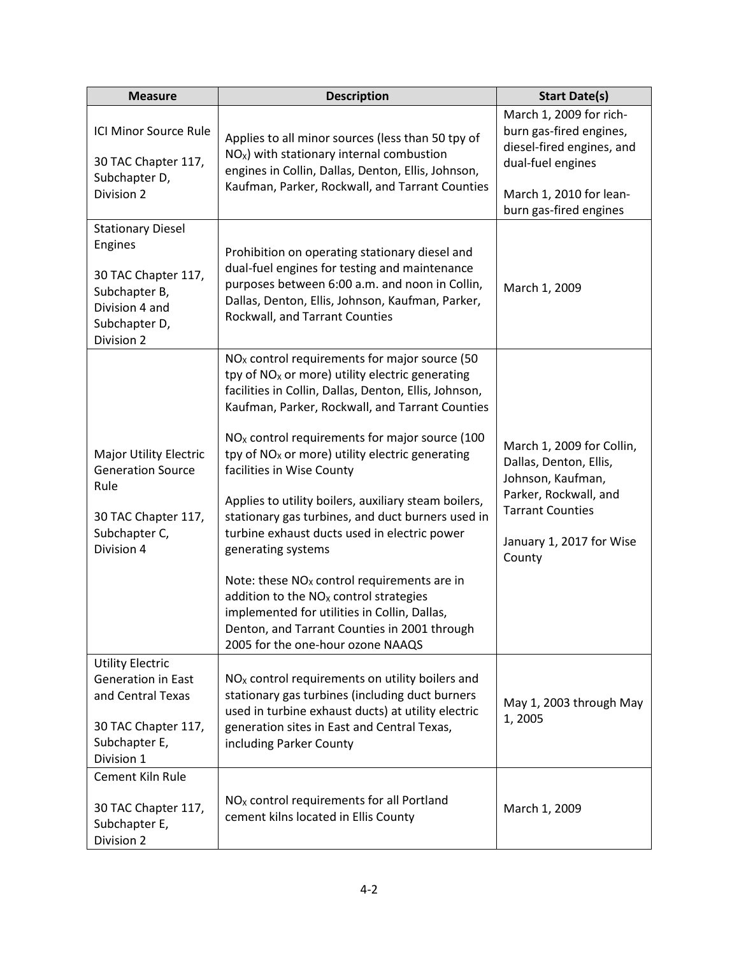| <b>Measure</b>                                                                                                               | <b>Description</b>                                                                                                                                                                                                                                                                                                                                                                                                                                                                                                                                                                                                                                                                                                                                                                              |                                                                                                                                                                    |
|------------------------------------------------------------------------------------------------------------------------------|-------------------------------------------------------------------------------------------------------------------------------------------------------------------------------------------------------------------------------------------------------------------------------------------------------------------------------------------------------------------------------------------------------------------------------------------------------------------------------------------------------------------------------------------------------------------------------------------------------------------------------------------------------------------------------------------------------------------------------------------------------------------------------------------------|--------------------------------------------------------------------------------------------------------------------------------------------------------------------|
| ICI Minor Source Rule<br>30 TAC Chapter 117,<br>Subchapter D,<br>Division 2                                                  | Applies to all minor sources (less than 50 tpy of<br>$NOx$ ) with stationary internal combustion<br>engines in Collin, Dallas, Denton, Ellis, Johnson,<br>Kaufman, Parker, Rockwall, and Tarrant Counties                                                                                                                                                                                                                                                                                                                                                                                                                                                                                                                                                                                       | March 1, 2009 for rich-<br>burn gas-fired engines,<br>diesel-fired engines, and<br>dual-fuel engines<br>March 1, 2010 for lean-<br>burn gas-fired engines          |
| <b>Stationary Diesel</b><br>Engines<br>30 TAC Chapter 117,<br>Subchapter B,<br>Division 4 and<br>Subchapter D,<br>Division 2 | Prohibition on operating stationary diesel and<br>dual-fuel engines for testing and maintenance<br>purposes between 6:00 a.m. and noon in Collin,<br>Dallas, Denton, Ellis, Johnson, Kaufman, Parker,<br>Rockwall, and Tarrant Counties                                                                                                                                                                                                                                                                                                                                                                                                                                                                                                                                                         | March 1, 2009                                                                                                                                                      |
| <b>Major Utility Electric</b><br><b>Generation Source</b><br>Rule<br>30 TAC Chapter 117,<br>Subchapter C,<br>Division 4      | $NOx$ control requirements for major source (50<br>tpy of $NOx$ or more) utility electric generating<br>facilities in Collin, Dallas, Denton, Ellis, Johnson,<br>Kaufman, Parker, Rockwall, and Tarrant Counties<br>NO <sub>x</sub> control requirements for major source (100<br>tpy of NO <sub>x</sub> or more) utility electric generating<br>facilities in Wise County<br>Applies to utility boilers, auxiliary steam boilers,<br>stationary gas turbines, and duct burners used in<br>turbine exhaust ducts used in electric power<br>generating systems<br>Note: these $NOx$ control requirements are in<br>addition to the $NOx$ control strategies<br>implemented for utilities in Collin, Dallas,<br>Denton, and Tarrant Counties in 2001 through<br>2005 for the one-hour ozone NAAQS | March 1, 2009 for Collin,<br>Dallas, Denton, Ellis,<br>Johnson, Kaufman,<br>Parker, Rockwall, and<br><b>Tarrant Counties</b><br>January 1, 2017 for Wise<br>County |
| <b>Utility Electric</b><br>Generation in East<br>and Central Texas<br>30 TAC Chapter 117,<br>Subchapter E,<br>Division 1     | $NOx$ control requirements on utility boilers and<br>stationary gas turbines (including duct burners<br>used in turbine exhaust ducts) at utility electric<br>generation sites in East and Central Texas,<br>including Parker County                                                                                                                                                                                                                                                                                                                                                                                                                                                                                                                                                            | May 1, 2003 through May<br>1,2005                                                                                                                                  |
| Cement Kiln Rule<br>30 TAC Chapter 117,<br>Subchapter E,<br>Division 2                                                       | NO <sub>x</sub> control requirements for all Portland<br>cement kilns located in Ellis County                                                                                                                                                                                                                                                                                                                                                                                                                                                                                                                                                                                                                                                                                                   | March 1, 2009                                                                                                                                                      |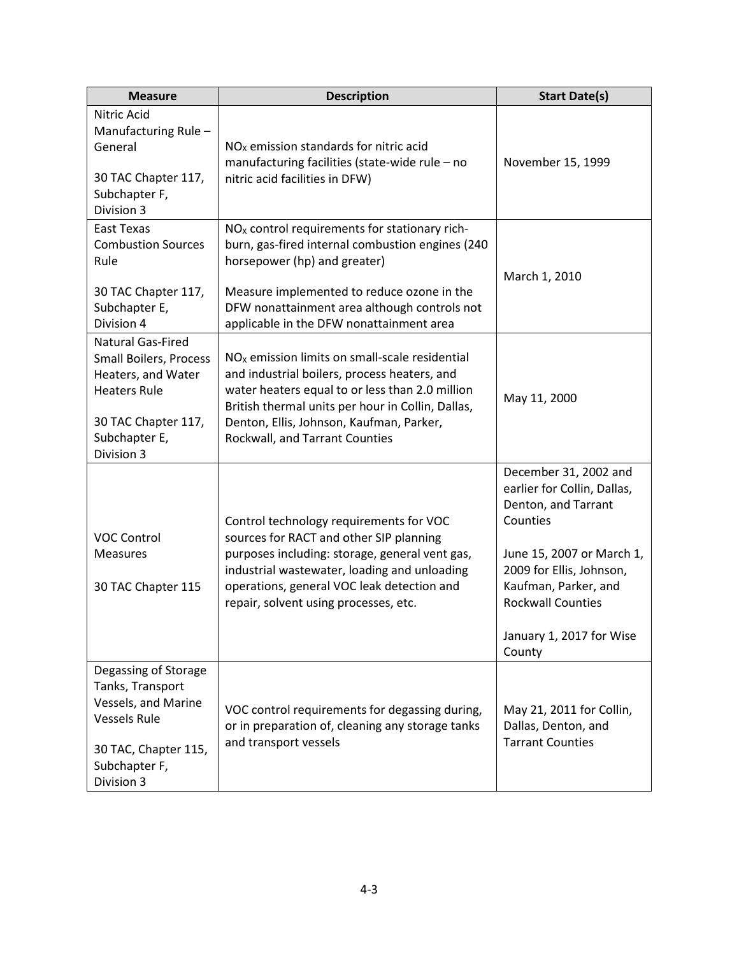| <b>Measure</b>                                                                                                                                        | <b>Description</b>                                                                                                                                                                                                                                                                     | <b>Start Date(s)</b>                                                                                                                                                                                                                       |
|-------------------------------------------------------------------------------------------------------------------------------------------------------|----------------------------------------------------------------------------------------------------------------------------------------------------------------------------------------------------------------------------------------------------------------------------------------|--------------------------------------------------------------------------------------------------------------------------------------------------------------------------------------------------------------------------------------------|
| Nitric Acid<br>Manufacturing Rule-<br>General<br>30 TAC Chapter 117,<br>Subchapter F,<br>Division 3                                                   | $NOx$ emission standards for nitric acid<br>manufacturing facilities (state-wide rule - no<br>nitric acid facilities in DFW)                                                                                                                                                           | November 15, 1999                                                                                                                                                                                                                          |
| East Texas<br><b>Combustion Sources</b><br>Rule<br>30 TAC Chapter 117,<br>Subchapter E,<br>Division 4                                                 | $NOx$ control requirements for stationary rich-<br>burn, gas-fired internal combustion engines (240<br>horsepower (hp) and greater)<br>Measure implemented to reduce ozone in the<br>DFW nonattainment area although controls not<br>applicable in the DFW nonattainment area          | March 1, 2010                                                                                                                                                                                                                              |
| <b>Natural Gas-Fired</b><br>Small Boilers, Process<br>Heaters, and Water<br><b>Heaters Rule</b><br>30 TAC Chapter 117,<br>Subchapter E,<br>Division 3 | $NOx$ emission limits on small-scale residential<br>and industrial boilers, process heaters, and<br>water heaters equal to or less than 2.0 million<br>British thermal units per hour in Collin, Dallas,<br>Denton, Ellis, Johnson, Kaufman, Parker,<br>Rockwall, and Tarrant Counties | May 11, 2000                                                                                                                                                                                                                               |
| <b>VOC Control</b><br><b>Measures</b><br>30 TAC Chapter 115                                                                                           | Control technology requirements for VOC<br>sources for RACT and other SIP planning<br>purposes including: storage, general vent gas,<br>industrial wastewater, loading and unloading<br>operations, general VOC leak detection and<br>repair, solvent using processes, etc.            | December 31, 2002 and<br>earlier for Collin, Dallas,<br>Denton, and Tarrant<br>Counties<br>June 15, 2007 or March 1,<br>2009 for Ellis, Johnson,<br>Kaufman, Parker, and<br><b>Rockwall Counties</b><br>January 1, 2017 for Wise<br>County |
| Degassing of Storage<br>Tanks, Transport<br>Vessels, and Marine<br><b>Vessels Rule</b><br>30 TAC, Chapter 115,<br>Subchapter F,<br>Division 3         | VOC control requirements for degassing during,<br>or in preparation of, cleaning any storage tanks<br>and transport vessels                                                                                                                                                            | May 21, 2011 for Collin,<br>Dallas, Denton, and<br><b>Tarrant Counties</b>                                                                                                                                                                 |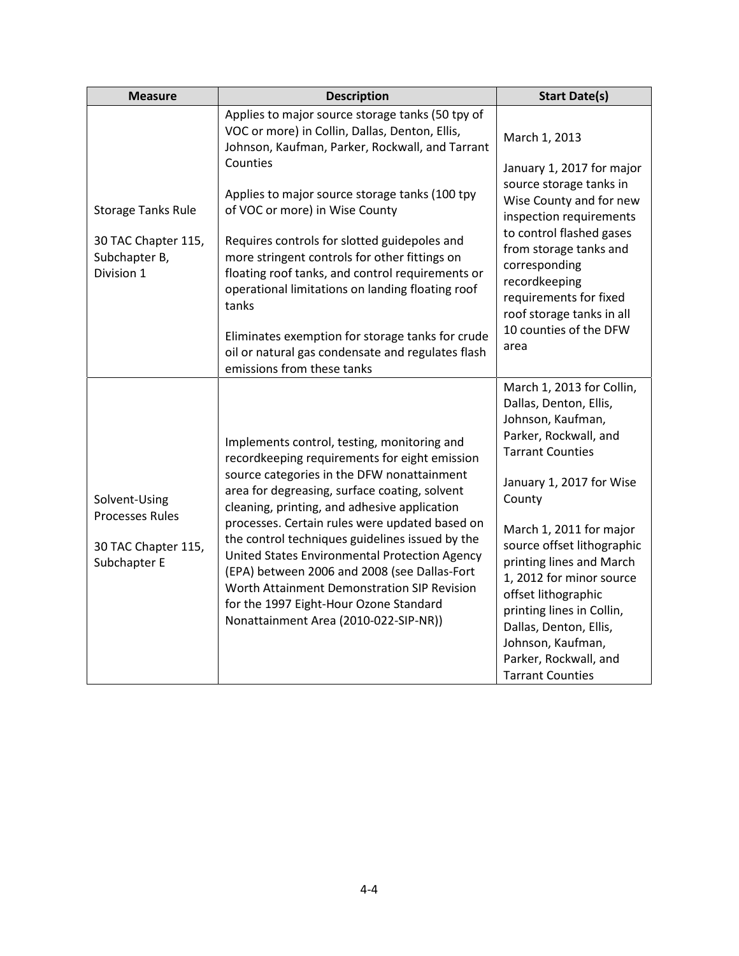| <b>Measure</b>                                                | <b>Description</b>                                                                                                                                                                                                                                                                                                                   | <b>Start Date(s)</b>                                                                                                                                                                                                                                                 |
|---------------------------------------------------------------|--------------------------------------------------------------------------------------------------------------------------------------------------------------------------------------------------------------------------------------------------------------------------------------------------------------------------------------|----------------------------------------------------------------------------------------------------------------------------------------------------------------------------------------------------------------------------------------------------------------------|
|                                                               | Applies to major source storage tanks (50 tpy of<br>VOC or more) in Collin, Dallas, Denton, Ellis,<br>Johnson, Kaufman, Parker, Rockwall, and Tarrant                                                                                                                                                                                | March 1, 2013                                                                                                                                                                                                                                                        |
| <b>Storage Tanks Rule</b>                                     | Counties<br>Applies to major source storage tanks (100 tpy<br>of VOC or more) in Wise County                                                                                                                                                                                                                                         | January 1, 2017 for major<br>source storage tanks in<br>Wise County and for new<br>inspection requirements<br>to control flashed gases                                                                                                                               |
| 30 TAC Chapter 115,<br>Subchapter B,<br>Division 1            | Requires controls for slotted guidepoles and<br>more stringent controls for other fittings on<br>floating roof tanks, and control requirements or<br>operational limitations on landing floating roof<br>tanks                                                                                                                       | from storage tanks and<br>corresponding<br>recordkeeping<br>requirements for fixed<br>roof storage tanks in all<br>10 counties of the DFW<br>area                                                                                                                    |
|                                                               | Eliminates exemption for storage tanks for crude<br>oil or natural gas condensate and regulates flash<br>emissions from these tanks                                                                                                                                                                                                  |                                                                                                                                                                                                                                                                      |
|                                                               | Implements control, testing, monitoring and<br>recordkeeping requirements for eight emission                                                                                                                                                                                                                                         | March 1, 2013 for Collin,<br>Dallas, Denton, Ellis,<br>Johnson, Kaufman,<br>Parker, Rockwall, and<br><b>Tarrant Counties</b>                                                                                                                                         |
| Solvent-Using                                                 | source categories in the DFW nonattainment<br>area for degreasing, surface coating, solvent<br>cleaning, printing, and adhesive application                                                                                                                                                                                          | January 1, 2017 for Wise<br>County                                                                                                                                                                                                                                   |
| <b>Processes Rules</b><br>30 TAC Chapter 115,<br>Subchapter E | processes. Certain rules were updated based on<br>the control techniques guidelines issued by the<br>United States Environmental Protection Agency<br>(EPA) between 2006 and 2008 (see Dallas-Fort<br>Worth Attainment Demonstration SIP Revision<br>for the 1997 Eight-Hour Ozone Standard<br>Nonattainment Area (2010-022-SIP-NR)) | March 1, 2011 for major<br>source offset lithographic<br>printing lines and March<br>1, 2012 for minor source<br>offset lithographic<br>printing lines in Collin,<br>Dallas, Denton, Ellis,<br>Johnson, Kaufman,<br>Parker, Rockwall, and<br><b>Tarrant Counties</b> |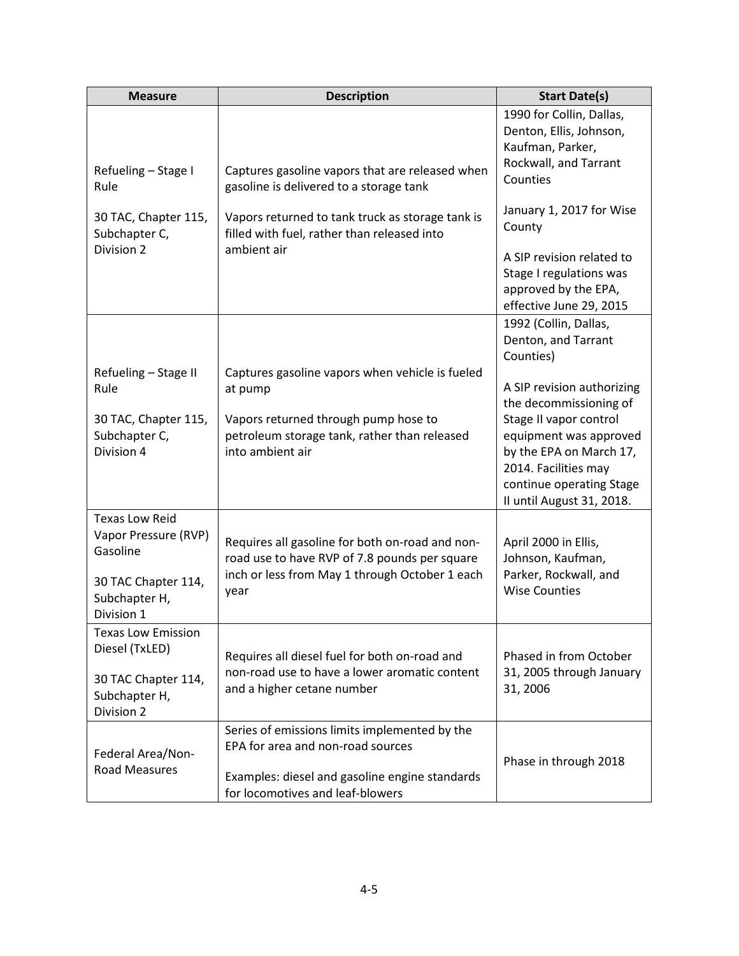| <b>Measure</b>                                                                                    | <b>Description</b>                                                                                                                                                       | <b>Start Date(s)</b>                                                                                                                                         |
|---------------------------------------------------------------------------------------------------|--------------------------------------------------------------------------------------------------------------------------------------------------------------------------|--------------------------------------------------------------------------------------------------------------------------------------------------------------|
| Refueling - Stage I                                                                               | Captures gasoline vapors that are released when                                                                                                                          | 1990 for Collin, Dallas,<br>Denton, Ellis, Johnson,<br>Kaufman, Parker,<br>Rockwall, and Tarrant<br>Counties                                                 |
| Rule<br>30 TAC, Chapter 115,<br>Subchapter C,<br>Division 2                                       | gasoline is delivered to a storage tank<br>Vapors returned to tank truck as storage tank is<br>filled with fuel, rather than released into<br>ambient air                | January 1, 2017 for Wise<br>County<br>A SIP revision related to                                                                                              |
|                                                                                                   |                                                                                                                                                                          | Stage I regulations was<br>approved by the EPA,<br>effective June 29, 2015                                                                                   |
|                                                                                                   |                                                                                                                                                                          | 1992 (Collin, Dallas,<br>Denton, and Tarrant<br>Counties)                                                                                                    |
| Refueling - Stage II<br>Rule                                                                      | Captures gasoline vapors when vehicle is fueled<br>at pump                                                                                                               | A SIP revision authorizing<br>the decommissioning of                                                                                                         |
| 30 TAC, Chapter 115,<br>Subchapter C,<br>Division 4                                               | Vapors returned through pump hose to<br>petroleum storage tank, rather than released<br>into ambient air                                                                 | Stage II vapor control<br>equipment was approved<br>by the EPA on March 17,<br>2014. Facilities may<br>continue operating Stage<br>II until August 31, 2018. |
| <b>Texas Low Reid</b><br>Vapor Pressure (RVP)<br>Gasoline<br>30 TAC Chapter 114,<br>Subchapter H, | Requires all gasoline for both on-road and non-<br>road use to have RVP of 7.8 pounds per square<br>inch or less from May 1 through October 1 each<br>year               | April 2000 in Ellis,<br>Johnson, Kaufman,<br>Parker, Rockwall, and<br><b>Wise Counties</b>                                                                   |
| Division 1<br><b>Texas Low Emission</b>                                                           |                                                                                                                                                                          |                                                                                                                                                              |
| Diesel (TxLED)<br>30 TAC Chapter 114,<br>Subchapter H,<br>Division 2                              | Requires all diesel fuel for both on-road and<br>non-road use to have a lower aromatic content<br>and a higher cetane number                                             | Phased in from October<br>31, 2005 through January<br>31, 2006                                                                                               |
| Federal Area/Non-<br><b>Road Measures</b>                                                         | Series of emissions limits implemented by the<br>EPA for area and non-road sources<br>Examples: diesel and gasoline engine standards<br>for locomotives and leaf-blowers | Phase in through 2018                                                                                                                                        |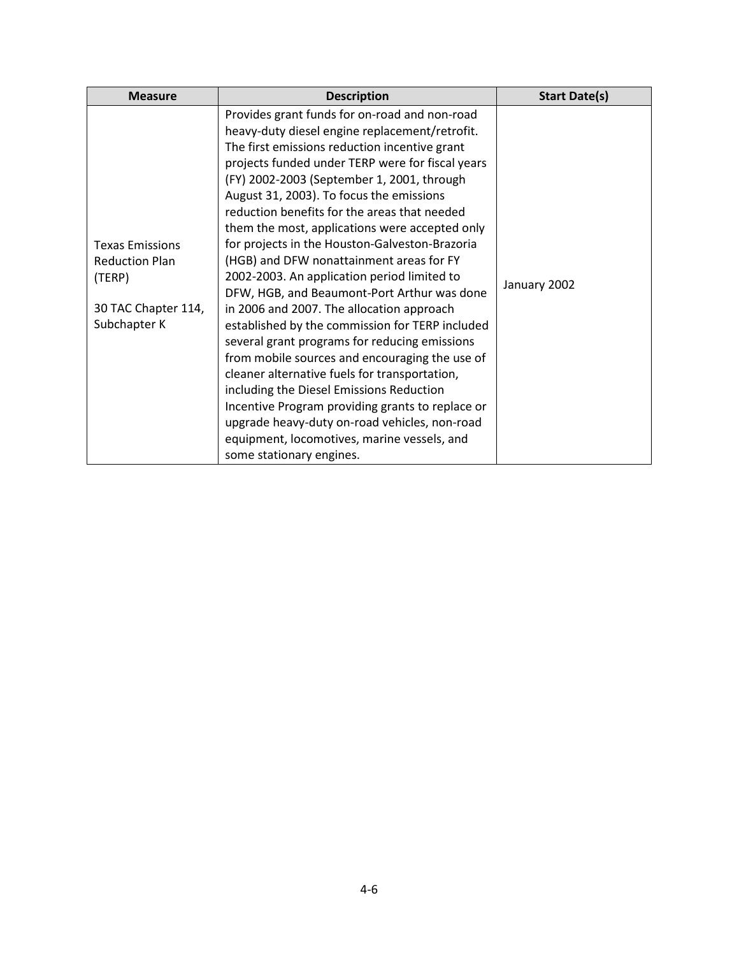| <b>Measure</b>                                                                                   | <b>Description</b>                                                                                                                                                                                                                                                                                                                                                                                                                                                                                                                                                                                                                                                                                                                                                                                                                                                                                                                                                                                                                                                           | <b>Start Date(s)</b> |
|--------------------------------------------------------------------------------------------------|------------------------------------------------------------------------------------------------------------------------------------------------------------------------------------------------------------------------------------------------------------------------------------------------------------------------------------------------------------------------------------------------------------------------------------------------------------------------------------------------------------------------------------------------------------------------------------------------------------------------------------------------------------------------------------------------------------------------------------------------------------------------------------------------------------------------------------------------------------------------------------------------------------------------------------------------------------------------------------------------------------------------------------------------------------------------------|----------------------|
| <b>Texas Emissions</b><br><b>Reduction Plan</b><br>(TERP)<br>30 TAC Chapter 114,<br>Subchapter K | Provides grant funds for on-road and non-road<br>heavy-duty diesel engine replacement/retrofit.<br>The first emissions reduction incentive grant<br>projects funded under TERP were for fiscal years<br>(FY) 2002-2003 (September 1, 2001, through<br>August 31, 2003). To focus the emissions<br>reduction benefits for the areas that needed<br>them the most, applications were accepted only<br>for projects in the Houston-Galveston-Brazoria<br>(HGB) and DFW nonattainment areas for FY<br>2002-2003. An application period limited to<br>DFW, HGB, and Beaumont-Port Arthur was done<br>in 2006 and 2007. The allocation approach<br>established by the commission for TERP included<br>several grant programs for reducing emissions<br>from mobile sources and encouraging the use of<br>cleaner alternative fuels for transportation,<br>including the Diesel Emissions Reduction<br>Incentive Program providing grants to replace or<br>upgrade heavy-duty on-road vehicles, non-road<br>equipment, locomotives, marine vessels, and<br>some stationary engines. | January 2002         |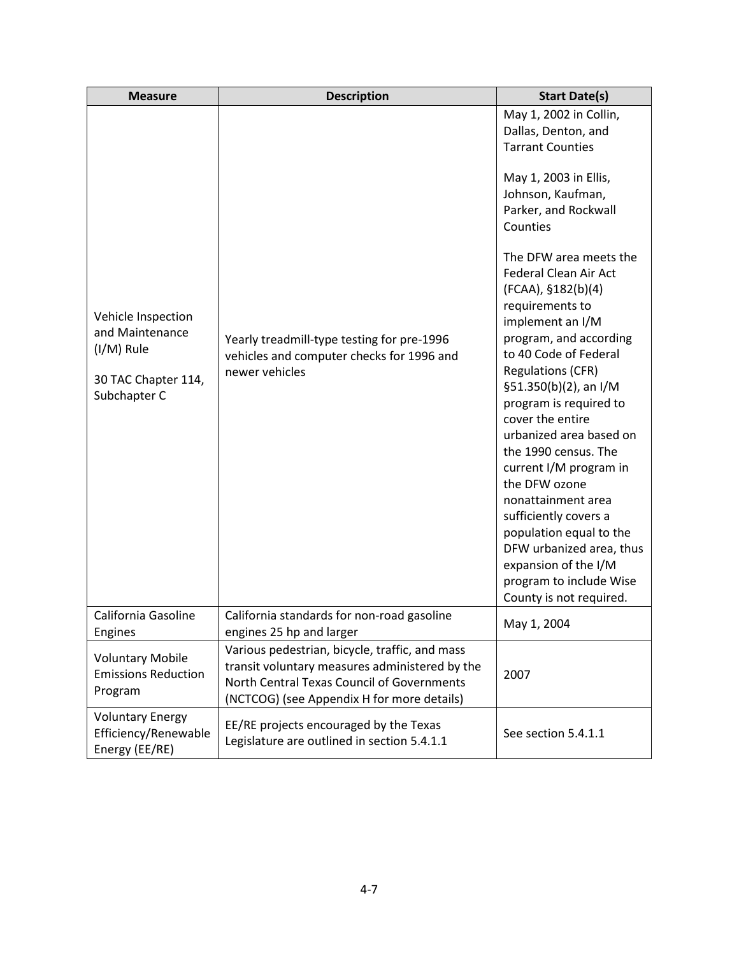| <b>Measure</b>                                                                             | <b>Description</b>                                                                                                                                                                           | <b>Start Date(s)</b>                                                                                                                                                                                                                                                                                                                                                                                                                                                                                                                                                                                                                                                                                                      |
|--------------------------------------------------------------------------------------------|----------------------------------------------------------------------------------------------------------------------------------------------------------------------------------------------|---------------------------------------------------------------------------------------------------------------------------------------------------------------------------------------------------------------------------------------------------------------------------------------------------------------------------------------------------------------------------------------------------------------------------------------------------------------------------------------------------------------------------------------------------------------------------------------------------------------------------------------------------------------------------------------------------------------------------|
| Vehicle Inspection<br>and Maintenance<br>(I/M) Rule<br>30 TAC Chapter 114,<br>Subchapter C | Yearly treadmill-type testing for pre-1996<br>vehicles and computer checks for 1996 and<br>newer vehicles                                                                                    | May 1, 2002 in Collin,<br>Dallas, Denton, and<br><b>Tarrant Counties</b><br>May 1, 2003 in Ellis,<br>Johnson, Kaufman,<br>Parker, and Rockwall<br>Counties<br>The DFW area meets the<br><b>Federal Clean Air Act</b><br>(FCAA), §182(b)(4)<br>requirements to<br>implement an I/M<br>program, and according<br>to 40 Code of Federal<br><b>Regulations (CFR)</b><br>§51.350(b)(2), an I/M<br>program is required to<br>cover the entire<br>urbanized area based on<br>the 1990 census. The<br>current I/M program in<br>the DFW ozone<br>nonattainment area<br>sufficiently covers a<br>population equal to the<br>DFW urbanized area, thus<br>expansion of the I/M<br>program to include Wise<br>County is not required. |
| California Gasoline<br>Engines                                                             | California standards for non-road gasoline<br>engines 25 hp and larger                                                                                                                       | May 1, 2004                                                                                                                                                                                                                                                                                                                                                                                                                                                                                                                                                                                                                                                                                                               |
| <b>Voluntary Mobile</b><br><b>Emissions Reduction</b><br>Program                           | Various pedestrian, bicycle, traffic, and mass<br>transit voluntary measures administered by the<br>North Central Texas Council of Governments<br>(NCTCOG) (see Appendix H for more details) | 2007                                                                                                                                                                                                                                                                                                                                                                                                                                                                                                                                                                                                                                                                                                                      |
| <b>Voluntary Energy</b><br>Efficiency/Renewable<br>Energy (EE/RE)                          | EE/RE projects encouraged by the Texas<br>Legislature are outlined in section 5.4.1.1                                                                                                        | See section 5.4.1.1                                                                                                                                                                                                                                                                                                                                                                                                                                                                                                                                                                                                                                                                                                       |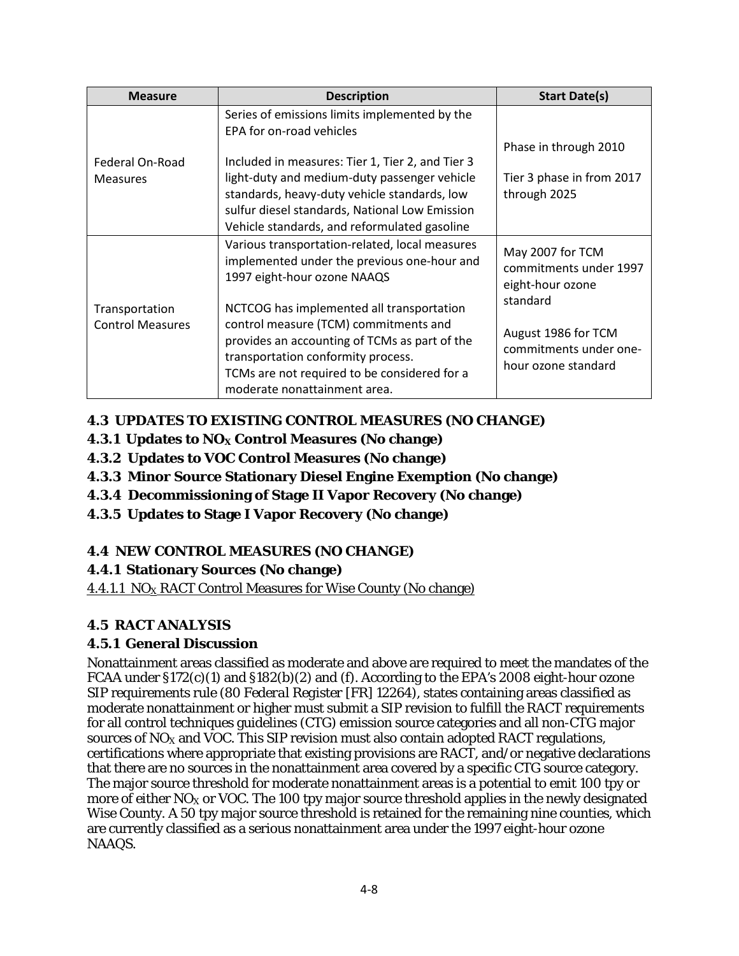| <b>Measure</b>                            | <b>Description</b>                                                                                                                                                                                                                                        | <b>Start Date(s)</b>                                                             |
|-------------------------------------------|-----------------------------------------------------------------------------------------------------------------------------------------------------------------------------------------------------------------------------------------------------------|----------------------------------------------------------------------------------|
|                                           | Series of emissions limits implemented by the<br>EPA for on-road vehicles                                                                                                                                                                                 |                                                                                  |
| Federal On-Road                           | Included in measures: Tier 1, Tier 2, and Tier 3                                                                                                                                                                                                          | Phase in through 2010                                                            |
| <b>Measures</b>                           | light-duty and medium-duty passenger vehicle<br>standards, heavy-duty vehicle standards, low<br>sulfur diesel standards, National Low Emission<br>Vehicle standards, and reformulated gasoline                                                            | Tier 3 phase in from 2017<br>through 2025                                        |
|                                           | Various transportation-related, local measures<br>implemented under the previous one-hour and<br>1997 eight-hour ozone NAAQS                                                                                                                              | May 2007 for TCM<br>commitments under 1997<br>eight-hour ozone                   |
| Transportation<br><b>Control Measures</b> | NCTCOG has implemented all transportation<br>control measure (TCM) commitments and<br>provides an accounting of TCMs as part of the<br>transportation conformity process.<br>TCMs are not required to be considered for a<br>moderate nonattainment area. | standard<br>August 1986 for TCM<br>commitments under one-<br>hour ozone standard |

# **4.3 UPDATES TO EXISTING CONTROL MEASURES (NO CHANGE)**

- **4.3.1 Updates to NO<sub>X</sub> Control Measures (No change)**
- **4.3.2 Updates to VOC Control Measures (No change)**
- **4.3.3 Minor Source Stationary Diesel Engine Exemption (No change)**
- **4.3.4 Decommissioning of Stage II Vapor Recovery (No change)**
- **4.3.5 Updates to Stage I Vapor Recovery (No change)**

# **4.4 NEW CONTROL MEASURES (NO CHANGE)**

## **4.4.1 Stationary Sources (No change)**

4.4.1.1  $NO<sub>X</sub> RACT Control Measures for Wise County (No change)$ 

# **4.5 RACT ANALYSIS**

## **4.5.1 General Discussion**

Nonattainment areas classified as moderate and above are required to meet the mandates of the FCAA under  $\S172(c)(1)$  and  $\S182(b)(2)$  and (f). According to the EPA's 2008 eight-hour ozone SIP requirements rule (80 *Federal Register* [FR] 12264), states containing areas classified as moderate nonattainment or higher must submit a SIP revision to fulfill the RACT requirements for all control techniques guidelines (CTG) emission source categories and all non-CTG major sources of  $NO<sub>x</sub>$  and VOC. This SIP revision must also contain adopted RACT regulations, certifications where appropriate that existing provisions are RACT, and/or negative declarations that there are no sources in the nonattainment area covered by a specific CTG source category. The major source threshold for moderate nonattainment areas is a potential to emit 100 tpy or more of either  $NO<sub>x</sub>$  or VOC. The 100 tpy major source threshold applies in the newly designated Wise County. A 50 tpy major source threshold is retained for the remaining nine counties, which are currently classified as a serious nonattainment area under the 1997 eight-hour ozone NAAQS.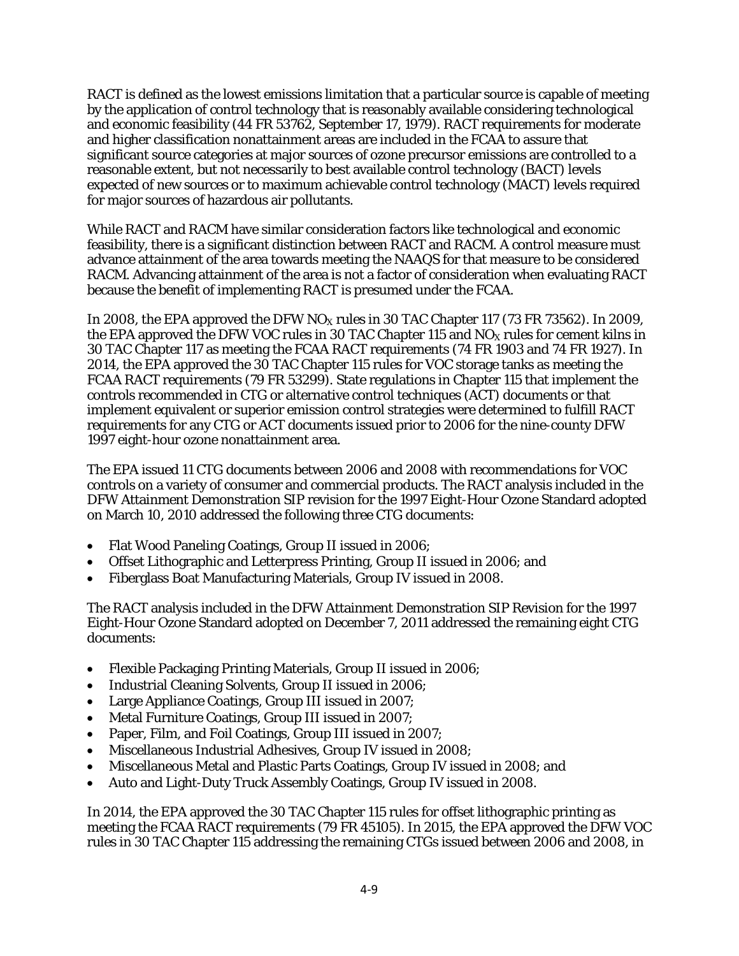RACT is defined as the lowest emissions limitation that a particular source is capable of meeting by the application of control technology that is reasonably available considering technological and economic feasibility (44 FR 53762, September 17, 1979). RACT requirements for moderate and higher classification nonattainment areas are included in the FCAA to assure that significant source categories at major sources of ozone precursor emissions are controlled to a reasonable extent, but not necessarily to best available control technology (BACT) levels expected of new sources or to maximum achievable control technology (MACT) levels required for major sources of hazardous air pollutants.

While RACT and RACM have similar consideration factors like technological and economic feasibility, there is a significant distinction between RACT and RACM. A control measure must advance attainment of the area towards meeting the NAAQS for that measure to be considered RACM. Advancing attainment of the area is not a factor of consideration when evaluating RACT because the benefit of implementing RACT is presumed under the FCAA.

In 2008, the EPA approved the DFW  $NO<sub>x</sub>$  rules in 30 TAC Chapter 117 (73 FR 73562). In 2009, the EPA approved the DFW VOC rules in 30 TAC Chapter 115 and  $NO<sub>X</sub>$  rules for cement kilns in 30 TAC Chapter 117 as meeting the FCAA RACT requirements (74 FR 1903 and 74 FR 1927). In 2014, the EPA approved the 30 TAC Chapter 115 rules for VOC storage tanks as meeting the FCAA RACT requirements (79 FR 53299). State regulations in Chapter 115 that implement the controls recommended in CTG or alternative control techniques (ACT) documents or that implement equivalent or superior emission control strategies were determined to fulfill RACT requirements for any CTG or ACT documents issued prior to 2006 for the nine-county DFW 1997 eight-hour ozone nonattainment area.

The EPA issued 11 CTG documents between 2006 and 2008 with recommendations for VOC controls on a variety of consumer and commercial products. The RACT analysis included in the DFW Attainment Demonstration SIP revision for the 1997 Eight-Hour Ozone Standard adopted on March 10, 2010 addressed the following three CTG documents:

- Flat Wood Paneling Coatings, Group II issued in 2006;
- Offset Lithographic and Letterpress Printing, Group II issued in 2006; and
- Fiberglass Boat Manufacturing Materials, Group IV issued in 2008.

The RACT analysis included in the DFW Attainment Demonstration SIP Revision for the 1997 Eight-Hour Ozone Standard adopted on December 7, 2011 addressed the remaining eight CTG documents:

- Flexible Packaging Printing Materials, Group II issued in 2006;
- Industrial Cleaning Solvents, Group II issued in 2006;
- Large Appliance Coatings, Group III issued in 2007;
- Metal Furniture Coatings, Group III issued in 2007;
- Paper, Film, and Foil Coatings, Group III issued in 2007;
- Miscellaneous Industrial Adhesives, Group IV issued in 2008;
- Miscellaneous Metal and Plastic Parts Coatings, Group IV issued in 2008; and
- Auto and Light-Duty Truck Assembly Coatings, Group IV issued in 2008.

In 2014, the EPA approved the 30 TAC Chapter 115 rules for offset lithographic printing as meeting the FCAA RACT requirements (79 FR 45105). In 2015, the EPA approved the DFW VOC rules in 30 TAC Chapter 115 addressing the remaining CTGs issued between 2006 and 2008, in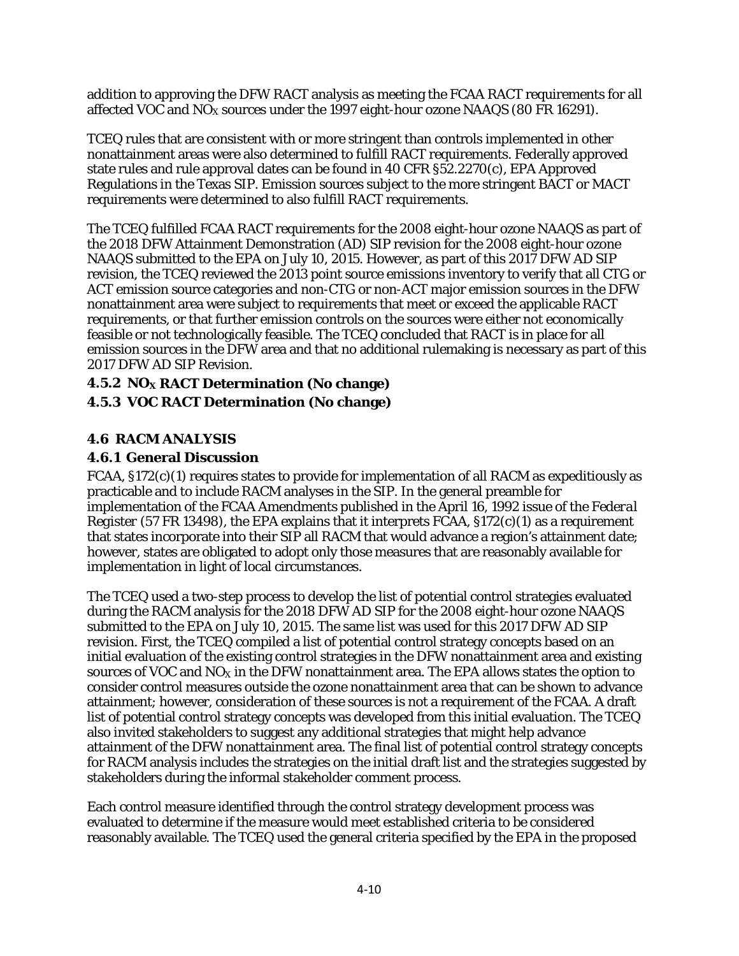addition to approving the DFW RACT analysis as meeting the FCAA RACT requirements for all affected VOC and  $NO<sub>x</sub>$  sources under the 1997 eight-hour ozone NAAQS (80 FR 16291).

TCEQ rules that are consistent with or more stringent than controls implemented in other nonattainment areas were also determined to fulfill RACT requirements. Federally approved state rules and rule approval dates can be found in 40 CFR §52.2270(c), EPA Approved Regulations in the Texas SIP. Emission sources subject to the more stringent BACT or MACT requirements were determined to also fulfill RACT requirements.

The TCEQ fulfilled FCAA RACT requirements for the 2008 eight-hour ozone NAAQS as part of the 2018 DFW Attainment Demonstration (AD) SIP revision for the 2008 eight-hour ozone NAAQS submitted to the EPA on July 10, 2015. However, as part of this 2017 DFW AD SIP revision, the TCEQ reviewed the 2013 point source emissions inventory to verify that all CTG or ACT emission source categories and non-CTG or non-ACT major emission sources in the DFW nonattainment area were subject to requirements that meet or exceed the applicable RACT requirements, or that further emission controls on the sources were either not economically feasible or not technologically feasible. The TCEQ concluded that RACT is in place for all emission sources in the DFW area and that no additional rulemaking is necessary as part of this 2017 DFW AD SIP Revision.

#### **4.5.2 NOX RACT Determination (No change) 4.5.3 VOC RACT Determination (No change)**

## **4.6 RACM ANALYSIS**

## **4.6.1 General Discussion**

FCAA, §172(c)(1) requires states to provide for implementation of all RACM as expeditiously as practicable and to include RACM analyses in the SIP. In the general preamble for implementation of the FCAA Amendments published in the April 16, 1992 issue of the *Federal Register* (57 FR 13498), the EPA explains that it interprets FCAA, §172(c)(1) as a requirement that states incorporate into their SIP all RACM that would advance a region's attainment date; however, states are obligated to adopt only those measures that are reasonably available for implementation in light of local circumstances.

The TCEQ used a two-step process to develop the list of potential control strategies evaluated during the RACM analysis for the 2018 DFW AD SIP for the 2008 eight-hour ozone NAAQS submitted to the EPA on July 10, 2015. The same list was used for this 2017 DFW AD SIP revision. First, the TCEQ compiled a list of potential control strategy concepts based on an initial evaluation of the existing control strategies in the DFW nonattainment area and existing sources of VOC and  $NO<sub>X</sub>$  in the DFW nonattainment area. The EPA allows states the option to consider control measures outside the ozone nonattainment area that can be shown to advance attainment; however, consideration of these sources is not a requirement of the FCAA. A draft list of potential control strategy concepts was developed from this initial evaluation. The TCEQ also invited stakeholders to suggest any additional strategies that might help advance attainment of the DFW nonattainment area. The final list of potential control strategy concepts for RACM analysis includes the strategies on the initial draft list and the strategies suggested by stakeholders during the informal stakeholder comment process.

Each control measure identified through the control strategy development process was evaluated to determine if the measure would meet established criteria to be considered reasonably available. The TCEQ used the general criteria specified by the EPA in the proposed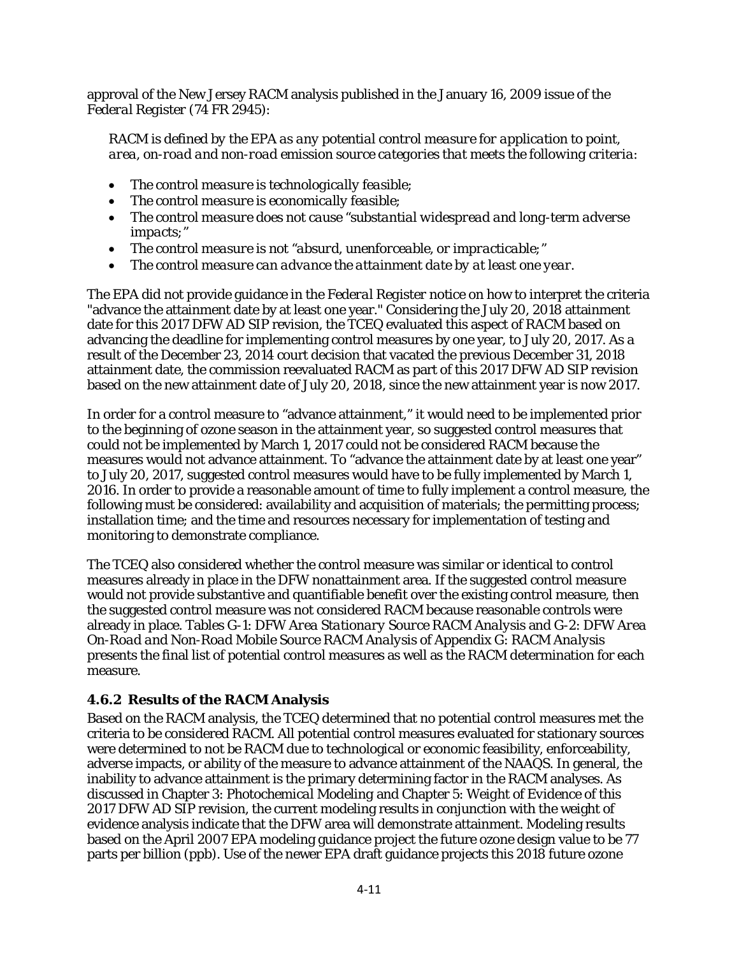approval of the New Jersey RACM analysis published in the January 16, 2009 issue of the *Federal Register* (74 FR 2945):

*RACM is defined by the EPA as any potential control measure for application to point, area, on-road and non-road emission source categories that meets the following criteria:*

- *The control measure is technologically feasible;*
- *The control measure is economically feasible;*
- *The control measure does not cause ''substantial widespread and long-term adverse impacts;''*
- *The control measure is not ''absurd, unenforceable, or impracticable;''*
- *The control measure can advance the attainment date by at least one year.*

The EPA did not provide guidance in the *Federal Register* notice on how to interpret the criteria "advance the attainment date by at least one year." Considering the July 20, 2018 attainment date for this 2017 DFW AD SIP revision, the TCEQ evaluated this aspect of RACM based on advancing the deadline for implementing control measures by one year, to July 20, 2017. As a result of the December 23, 2014 court decision that vacated the previous December 31, 2018 attainment date, the commission reevaluated RACM as part of this 2017 DFW AD SIP revision based on the new attainment date of July 20, 2018, since the new attainment year is now 2017.

In order for a control measure to "advance attainment," it would need to be implemented prior to the beginning of ozone season in the attainment year, so suggested control measures that could not be implemented by March 1, 2017 could not be considered RACM because the measures would not advance attainment. To "advance the attainment date by at least one year" to July 20, 2017, suggested control measures would have to be fully implemented by March 1, 2016. In order to provide a reasonable amount of time to fully implement a control measure, the following must be considered: availability and acquisition of materials; the permitting process; installation time; and the time and resources necessary for implementation of testing and monitoring to demonstrate compliance.

The TCEQ also considered whether the control measure was similar or identical to control measures already in place in the DFW nonattainment area. If the suggested control measure would not provide substantive and quantifiable benefit over the existing control measure, then the suggested control measure was not considered RACM because reasonable controls were already in place. Tables G-1: *DFW Area Stationary Source RACM Analysis* and G-2: *DFW Area On-Road and Non-Road Mobile Source RACM Analysis* of Appendix G: *RACM Analysis* presents the final list of potential control measures as well as the RACM determination for each measure.

## **4.6.2 Results of the RACM Analysis**

Based on the RACM analysis, the TCEQ determined that no potential control measures met the criteria to be considered RACM. All potential control measures evaluated for stationary sources were determined to not be RACM due to technological or economic feasibility, enforceability, adverse impacts, or ability of the measure to advance attainment of the NAAQS. In general, the inability to advance attainment is the primary determining factor in the RACM analyses. As discussed in Chapter 3: *Photochemical Modeling* and Chapter 5: *Weight of Evidence* of this 2017 DFW AD SIP revision, the current modeling results in conjunction with the weight of evidence analysis indicate that the DFW area will demonstrate attainment. Modeling results based on the April 2007 EPA modeling guidance project the future ozone design value to be 77 parts per billion (ppb). Use of the newer EPA draft guidance projects this 2018 future ozone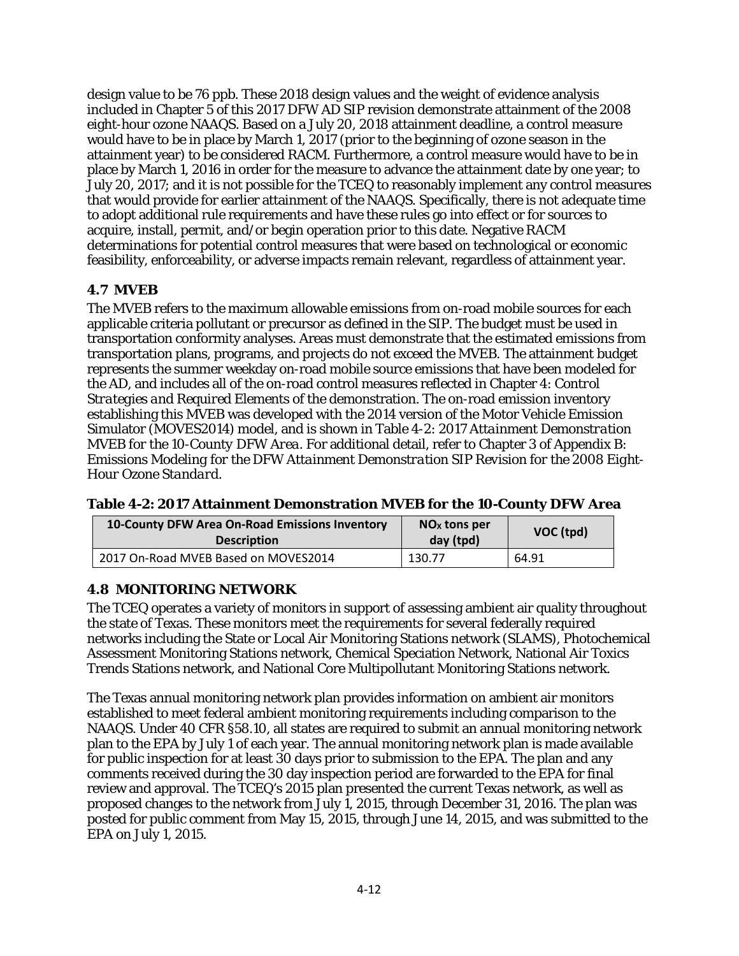design value to be 76 ppb. These 2018 design values and the weight of evidence analysis included in Chapter 5 of this 2017 DFW AD SIP revision demonstrate attainment of the 2008 eight-hour ozone NAAQS. Based on a July 20, 2018 attainment deadline, a control measure would have to be in place by March 1, 2017 (prior to the beginning of ozone season in the attainment year) to be considered RACM. Furthermore, a control measure would have to be in place by March 1, 2016 in order for the measure to advance the attainment date by one year; to July 20, 2017; and it is not possible for the TCEQ to reasonably implement any control measures that would provide for earlier attainment of the NAAQS. Specifically, there is not adequate time to adopt additional rule requirements and have these rules go into effect or for sources to acquire, install, permit, and/or begin operation prior to this date. Negative RACM determinations for potential control measures that were based on technological or economic feasibility, enforceability, or adverse impacts remain relevant, regardless of attainment year.

## **4.7 MVEB**

The MVEB refers to the maximum allowable emissions from on-road mobile sources for each applicable criteria pollutant or precursor as defined in the SIP. The budget must be used in transportation conformity analyses. Areas must demonstrate that the estimated emissions from transportation plans, programs, and projects do not exceed the MVEB. The attainment budget represents the summer weekday on-road mobile source emissions that have been modeled for the AD, and includes all of the on-road control measures reflected in Chapter 4: *Control Strategies and Required Elements* of the demonstration. The on-road emission inventory establishing this MVEB was developed with the 2014 version of the Motor Vehicle Emission Simulator (MOVES2014) model, and is shown in Table 4-2: *2017 Attainment Demonstration MVEB for the 10-County DFW Area*. For additional detail, refer to Chapter 3 of Appendix B*: Emissions Modeling for the DFW Attainment Demonstration SIP Revision for the 2008 Eight-Hour Ozone Standard.*

|  | Table 4-2: 2017 Attainment Demonstration MVEB for the 10-County DFW Area |  |
|--|--------------------------------------------------------------------------|--|
|  |                                                                          |  |

| 10-County DFW Area On-Road Emissions Inventory<br><b>Description</b> | $NOx$ tons per<br>day (tpd) | VOC (tpd) |
|----------------------------------------------------------------------|-----------------------------|-----------|
| 2017 On-Road MVEB Based on MOVES2014                                 | 130.77                      | 64.91     |

# **4.8 MONITORING NETWORK**

The TCEQ operates a variety of monitors in support of assessing ambient air quality throughout the state of Texas. These monitors meet the requirements for several federally required networks including the State or Local Air Monitoring Stations network (SLAMS), Photochemical Assessment Monitoring Stations network, Chemical Speciation Network, National Air Toxics Trends Stations network, and National Core Multipollutant Monitoring Stations network.

The Texas annual monitoring network plan provides information on ambient air monitors established to meet federal ambient monitoring requirements including comparison to the NAAQS. Under 40 CFR §58.10, all states are required to submit an annual monitoring network plan to the EPA by July 1 of each year. The annual monitoring network plan is made available for public inspection for at least 30 days prior to submission to the EPA. The plan and any comments received during the 30 day inspection period are forwarded to the EPA for final review and approval. The TCEQ's 2015 plan presented the current Texas network, as well as proposed changes to the network from July 1, 2015, through December 31, 2016. The plan was posted for public comment from May 15, 2015, through June 14, 2015, and was submitted to the EPA on July 1, 2015.